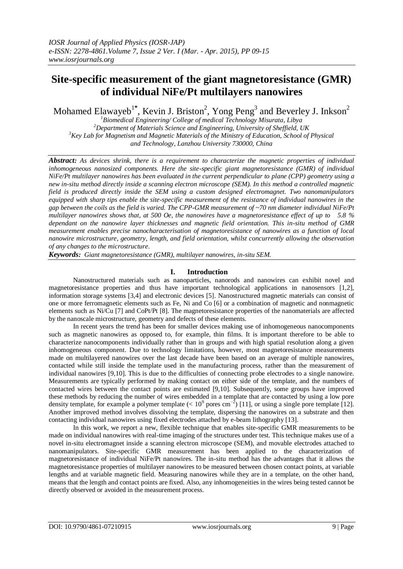# **Site-specific measurement of the giant magnetoresistance (GMR) of individual NiFe/Pt multilayers nanowires**

Mohamed Elawayeb<sup>1\*</sup>, Kevin J. Briston<sup>2</sup>, Yong Peng<sup>3</sup> and Beverley J. Inkson<sup>2</sup>

*Biomedical Engineering/ College of medical Technology Misurata, Libya Department of Materials Science and Engineering, University of Sheffield, UK Key Lab for Magnetism and Magnetic Materials of the Ministry of Education, School of Physical and Technology, Lanzhou University 730000, China*

*Abstract: As devices shrink, there is a requirement to characterize the magnetic properties of individual inhomogeneous nanosized components. Here the site-specific giant magnetoresistance (GMR) of individual NiFe/Pt multilayer nanowires has been evaluated in the current perpendicular to plane (CPP) geometry using a new in-situ method directly inside a scanning electron microscope (SEM). In this method a controlled magnetic field is produced directly inside the SEM using a custom designed electromagnet. Two nanomanipulators equipped with sharp tips enable the site-specific measurement of the resistance of individual nanowires in the gap between the coils as the field is varied. The CPP-GMR measurement of ~70 nm diameter individual NiFe/Pt multilayer nanowires shows that, at 500 Oe, the nanowires have a magnetoresistance effect of up to 5.8 % dependant on the nanowire layer thicknesses and magnetic field orientation. This in-situ method of GMR measurement enables precise nanocharacterisation of magnetoresistance of nanowires as a function of local nanowire microstructure, geometry, length, and field orientation, whilst concurrently allowing the observation of any changes to the microstructure*.

*Keywords: Giant magnetoresistance (GMR), multilayer nanowires, in-situ SEM.*

## **I. Introduction**

Nanostructured materials such as nanoparticles, nanorods and nanowires can exhibit novel and magnetoresistance properties and thus have important technological applications in nanosensors [1,2], information storage systems [3,4] and electronic devices [5]. Nanostructured magnetic materials can consist of one or more ferromagnetic elements such as Fe, Ni and Co [6] or a combination of magnetic and nonmagnetic elements such as Ni/Cu [7] and CoPt/Pt [8]. The magnetoresistance properties of the nanomaterials are affected by the nanoscale microstructure, geometry and defects of these elements.

In recent years the trend has been for smaller devices making use of inhomogeneous nanocomponents such as magnetic nanowires as opposed to, for example, thin films. It is important therefore to be able to characterize nanocomponents individually rather than in groups and with high spatial resolution along a given inhomogeneous component. Due to technology limitations, however, most magnetoresistance measurements made on multilayered nanowires over the last decade have been based on an average of multiple nanowires, contacted while still inside the template used in the manufacturing process, rather than the measurement of individual nanowires [9,10]. This is due to the difficulties of connecting probe electrodes to a single nanowire. Measurements are typically performed by making contact on either side of the template, and the numbers of contacted wires between the contact points are estimated [9,10]. Subsequently, some groups have improved these methods by reducing the number of wires embedded in a template that are contacted by using a low pore density template, for example a polymer template (<  $10^9$  pores cm<sup>-2</sup>) [11], or using a single pore template [12]. Another improved method involves dissolving the template, dispersing the nanowires on a substrate and then contacting individual nanowires using fixed electrodes attached by e-beam lithography [13].

In this work, we report a new, flexible technique that enables site-specific GMR measurements to be made on individual nanowires with real-time imaging of the structures under test. This technique makes use of a novel in-situ electromagnet inside a scanning electron microscope (SEM), and movable electrodes attached to nanomanipulators. Site-specific GMR measurement has been applied to the characterization of magnetoresistance of individual NiFe/Pt nanowires. The in-situ method has the advantages that it allows the magnetoresistance properties of multilayer nanowires to be measured between chosen contact points, at variable lengths and at variable magnetic field. Measuring nanowires while they are in a template, on the other hand, means that the length and contact points are fixed. Also, any inhomogeneities in the wires being tested cannot be directly observed or avoided in the measurement process.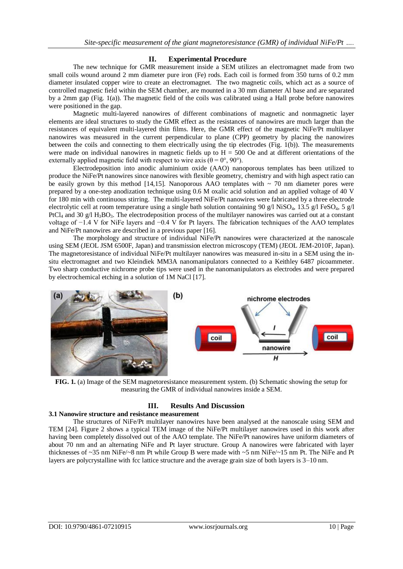#### **II. Experimental Procedure**

The new technique for GMR measurement inside a SEM utilizes an electromagnet made from two small coils wound around 2 mm diameter pure iron (Fe) rods. Each coil is formed from 350 turns of 0.2 mm diameter insulated copper wire to create an electromagnet. The two magnetic coils, which act as a source of controlled magnetic field within the SEM chamber, are mounted in a 30 mm diameter Al base and are separated by a 2mm gap (Fig. 1(a)). The magnetic field of the coils was calibrated using a Hall probe before nanowires were positioned in the gap.

Magnetic multi-layered nanowires of different combinations of magnetic and nonmagnetic layer elements are ideal structures to study the GMR effect as the resistances of nanowires are much larger than the resistances of equivalent multi-layered thin films. Here, the GMR effect of the magnetic NiFe/Pt multilayer nanowires was measured in the current perpendicular to plane (CPP) geometry by placing the nanowires between the coils and connecting to them electrically using the tip electrodes (Fig. 1(b)). The measurements were made on individual nanowires in magnetic fields up to  $H = 500$  Oe and at different orientations of the externally applied magnetic field with respect to wire axis  $(\theta = 0^{\circ}, 90^{\circ})$ .

Electrodeposition into anodic aluminium oxide (AAO) nanoporous templates has been utilized to produce the NiFe/Pt nanowires since nanowires with flexible geometry, chemistry and with high aspect ratio can be easily grown by this method [14,15]. Nanoporous AAO templates with  $\sim$  70 nm diameter pores were prepared by a one-step anodization technique using 0.6 M oxalic acid solution and an applied voltage of 40 V for 180 min with continuous stirring. The multi-layered NiFe/Pt nanowires were fabricated by a three electrode electrolytic cell at room temperature using a single bath solution containing 90 g/l NiSO<sub>4</sub>, 13.5 g/l FeSO<sub>4</sub>, 5 g/l PtCl<sub>4</sub> and 30 g/l H<sub>3</sub>BO<sub>3</sub>. The electrodeposition process of the multilayer nanowires was carried out at a constant voltage of −1.4 V for NiFe layers and −0.4 V for Pt layers. The fabrication techniques of the AAO templates and NiFe/Pt nanowires are described in a previous paper [16].

The morphology and structure of individual NiFe/Pt nanowires were characterized at the nanoscale using SEM (JEOL JSM 6500F, Japan) and transmission electron microscopy (TEM) (JEOL JEM-2010F, Japan). The magnetoresistance of individual NiFe/Pt multilayer nanowires was measured in-situ in a SEM using the insitu electromagnet and two Kleindiek MM3A nanomanipulators connected to a Keithley 6487 picoammeter. Two sharp conductive nichrome probe tips were used in the nanomanipulators as electrodes and were prepared by electrochemical etching in a solution of 1M NaCl [17].



**FIG. 1.** (a) Image of the SEM magnetoresistance measurement system. (b) Schematic showing the setup for measuring the GMR of individual nanowires inside a SEM.

## **III. Results And Discussion**

#### **3.1 Nanowire structure and resistance measurement**

The structures of NiFe/Pt multilayer nanowires have been analysed at the nanoscale using SEM and TEM [24]. Figure 2 shows a typical TEM image of the NiFe/Pt multilayer nanowires used in this work after having been completely dissolved out of the AAO template. The NiFe/Pt nanowires have uniform diameters of about 70 nm and an alternating NiFe and Pt layer structure. Group A nanowires were fabricated with layer thicknesses of ~35 nm NiFe/~8 nm Pt while Group B were made with ~5 nm NiFe/~15 nm Pt. The NiFe and Pt layers are polycrystalline with fcc lattice structure and the average grain size of both layers is 3–10 nm.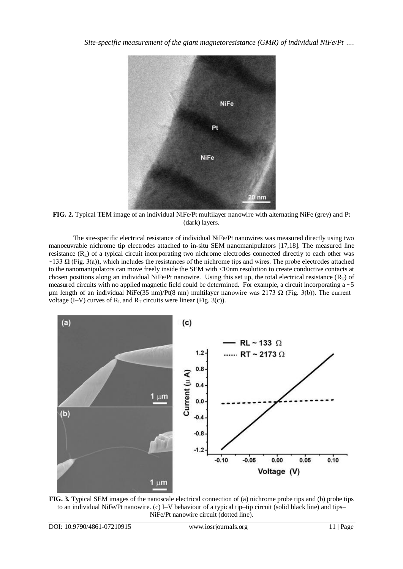

**FIG. 2.** Typical TEM image of an individual NiFe/Pt multilayer nanowire with alternating NiFe (grey) and Pt (dark) layers.

The site-specific electrical resistance of individual NiFe/Pt nanowires was measured directly using two manoeuvrable nichrome tip electrodes attached to in-situ SEM nanomanipulators [17,18]. The measured line resistance  $(R<sub>L</sub>)$  of a typical circuit incorporating two nichrome electrodes connected directly to each other was ~133  $\Omega$  (Fig. 3(a)), which includes the resistances of the nichrome tips and wires. The probe electrodes attached to the nanomanipulators can move freely inside the SEM with <10nm resolution to create conductive contacts at chosen positions along an individual NiFe/Pt nanowire. Using this set up, the total electrical resistance  $(R_T)$  of measured circuits with no applied magnetic field could be determined. For example, a circuit incorporating a ~5 um length of an individual NiFe(35 nm)/Pt(8 nm) multilayer nanowire was 2173  $\Omega$  (Fig. 3(b)). The current– voltage (I–V) curves of  $R_L$  and  $R_T$  circuits were linear (Fig. 3(c)).



**FIG. 3.** Typical SEM images of the nanoscale electrical connection of (a) nichrome probe tips and (b) probe tips to an individual NiFe/Pt nanowire. (c) I–V behaviour of a typical tip–tip circuit (solid black line) and tips– NiFe/Pt nanowire circuit (dotted line).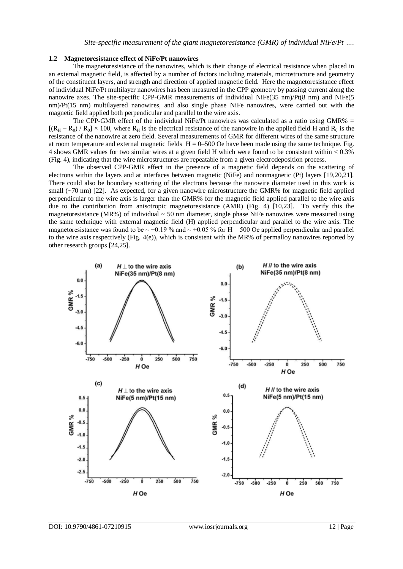#### **1.2 Magnetoresistance effect of NiFe/Pt nanowires**

The magnetoresistance of the nanowires, which is their change of electrical resistance when placed in an external magnetic field, is affected by a number of factors including materials, microstructure and geometry of the constituent layers, and strength and direction of applied magnetic field. Here the magnetoresistance effect of individual NiFe/Pt multilayer nanowires has been measured in the CPP geometry by passing current along the nanowire axes. The site-specific CPP-GMR measurements of individual NiFe(35 nm)/Pt(8 nm) and NiFe(5 nm)/Pt(15 nm) multilayered nanowires, and also single phase NiFe nanowires, were carried out with the magnetic field applied both perpendicular and parallel to the wire axis.

The CPP-GMR effect of the individual NiFe/Pt nanowires was calculated as a ratio using GMR%  $=$  $[(R_H - R_0) / R_0] \times 100$ , where  $R_H$  is the electrical resistance of the nanowire in the applied field H and  $R_0$  is the resistance of the nanowire at zero field. Several measurements of GMR for different wires of the same structure at room temperature and external magnetic fields  $H = 0-500$  Oe have been made using the same technique. Fig. 4 shows GMR values for two similar wires at a given field H which were found to be consistent within < 0.3% (Fig. 4), indicating that the wire microstructures are repeatable from a given electrodeposition process.

The observed CPP-GMR effect in the presence of a magnetic field depends on the scattering of electrons within the layers and at interfaces between magnetic (NiFe) and nonmagnetic (Pt) layers [19,20,21]. There could also be boundary scattering of the electrons because the nanowire diameter used in this work is small (~70 nm) [22]. As expected, for a given nanowire microstructure the GMR% for magnetic field applied perpendicular to the wire axis is larger than the GMR% for the magnetic field applied parallel to the wire axis due to the contribution from anisotropic magnetoresistance (AMR) (Fig. 4) [10,23]. To verify this the magnetoresistance (MR%) of individual  $\sim$  50 nm diameter, single phase NiFe nanowires were measured using the same technique with external magnetic field (H) applied perpendicular and parallel to the wire axis. The magnetoresistance was found to be  $\sim$  −0.19 % and  $\sim$  +0.05 % for H = 500 Oe applied perpendicular and parallel to the wire axis respectively (Fig.  $4(e)$ ), which is consistent with the MR% of permalloy nanowires reported by other research groups [24,25].

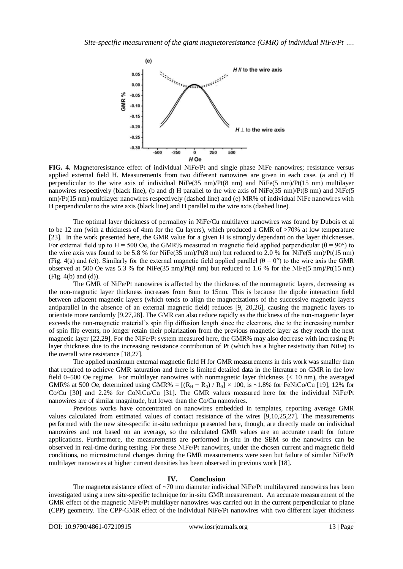

**FIG. 4.** Magnetoresistance effect of individual NiFe/Pt and single phase NiFe nanowires; resistance versus applied external field H. Measurements from two different nanowires are given in each case. (a and c) H perpendicular to the wire axis of individual NiFe(35 nm)/Pt(8 nm) and NiFe(5 nm)/Pt(15 nm) multilayer nanowires respectively (black line), (b and d) H parallel to the wire axis of NiFe(35 nm)/Pt(8 nm) and NiFe(5 nm)/Pt(15 nm) multilayer nanowires respectively (dashed line) and (e) MR% of individual NiFe nanowires with H perpendicular to the wire axis (black line) and H parallel to the wire axis (dashed line).

The optimal layer thickness of permalloy in NiFe/Cu multilayer nanowires was found by Dubois et al to be 12 nm (with a thickness of 4nm for the Cu layers), which produced a GMR of >70% at low temperature [23]. In the work presented here, the GMR value for a given H is strongly dependant on the layer thicknesses. For external field up to H = 500 Oe, the GMR% measured in magnetic field applied perpendicular ( $\theta$  = 90°) to the wire axis was found to be 5.8 % for NiFe(35 nm)/Pt(8 nm) but reduced to 2.0 % for NiFe(5 nm)/Pt(15 nm) (Fig. 4(a) and (c)). Similarly for the external magnetic field applied parallel ( $\theta = 0^{\circ}$ ) to the wire axis the GMR observed at 500 Oe was 5.3 % for NiFe(35 nm)/Pt(8 nm) but reduced to 1.6 % for the NiFe(5 nm)/Pt(15 nm) (Fig. 4(b) and (d)).

The GMR of NiFe/Pt nanowires is affected by the thickness of the nonmagnetic layers, decreasing as the non-magnetic layer thickness increases from 8nm to 15nm. This is because the dipole interaction field between adjacent magnetic layers (which tends to align the magnetizations of the successive magnetic layers antiparallel in the absence of an external magnetic field) reduces [9, 20,26], causing the magnetic layers to orientate more randomly [9,27,28]. The GMR can also reduce rapidly as the thickness of the non-magnetic layer exceeds the non-magnetic material's spin flip diffusion length since the electrons, due to the increasing number of spin flip events, no longer retain their polarization from the previous magnetic layer as they reach the next magnetic layer [22,29]. For the NiFe/Pt system measured here, the GMR% may also decrease with increasing Pt layer thickness due to the increasing resistance contribution of Pt (which has a higher resistivity than NiFe) to the overall wire resistance [18,27].

The applied maximum external magnetic field H for GMR measurements in this work was smaller than that required to achieve GMR saturation and there is limited detailed data in the literature on GMR in the low field 0–500 Oe regime. For multilayer nanowires with nonmagnetic layer thickness (< 10 nm), the averaged GMR% at 500 Oe, determined using GMR% =  $[(R_H - R_0) / R_0] \times 100$ , is ~1.8% for FeNiCo/Cu [19], 12% for Co/Cu [30] and 2.2% for CoNiCu/Cu [31]. The GMR values measured here for the individual NiFe/Pt nanowires are of similar magnitude, but lower than the Co/Cu nanowires.

Previous works have concentrated on nanowires embedded in templates, reporting average GMR values calculated from estimated values of contact resistance of the wires [9,10,25,27]. The measurements performed with the new site-specific in-situ technique presented here, though, are directly made on individual nanowires and not based on an average, so the calculated GMR values are an accurate result for future applications. Furthermore, the measurements are performed in-situ in the SEM so the nanowires can be observed in real-time during testing. For these NiFe/Pt nanowires, under the chosen current and magnetic field conditions, no microstructural changes during the GMR measurements were seen but failure of similar NiFe/Pt multilayer nanowires at higher current densities has been observed in previous work [18].

### **IV. Conclusion**

The magnetoresistance effect of ~70 nm diameter individual NiFe/Pt multilayered nanowires has been investigated using a new site-specific technique for in-situ GMR measurement. An accurate measurement of the GMR effect of the magnetic NiFe/Pt multilayer nanowires was carried out in the current perpendicular to plane (CPP) geometry. The CPP-GMR effect of the individual NiFe/Pt nanowires with two different layer thickness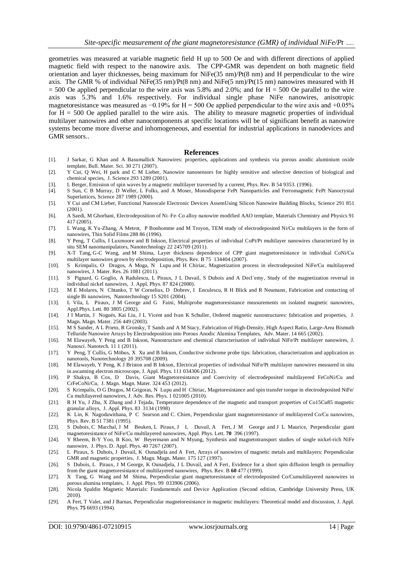geometries was measured at variable magnetic field H up to 500 Oe and with different directions of applied magnetic field with respect to the nanowire axis. The CPP-GMR was dependent on both magnetic field orientation and layer thicknesses, being maximum for NiFe(35 nm)/Pt(8 nm) and H perpendicular to the wire axis. The GMR % of individual NiFe(35 nm)/Pt(8 nm) and NiFe(5 nm)/Pt(15 nm) nanowires measured with H  $= 500$  Oe applied perpendicular to the wire axis was 5.8% and 2.0%; and for H = 500 Oe parallel to the wire axis was 5.3% and 1.6% respectively. For individual single phase NiFe nanowires, anisotropic magnetoresistance was measured as  $-0.19\%$  for H = 500 Oe applied perpendicular to the wire axis and +0.05% for  $H = 500$  Oe applied parallel to the wire axis. The ability to measure magnetic properties of individual multilayer nanowires and other nanocomponents at specific locations will be of significant benefit as nanowire systems become more diverse and inhomogeneous, and essential for industrial applications in nanodevices and GMR sensors..

#### **References**

- [1]. J Sarkar, G Khan and A Basumallick Nanowires: properties, applications and synthesis via porous anodic aluminium oxide template, Bull. Mater. Sci. 30 271 (2007).
- [2]. Y Cui, Q Wei, H park and C M Lieber, Nanowire nanosensors for highly sensitive and selective detection of biological and chemical species, J. Science 293 1289 (2001).
- [3]. L Berger, Emission of spin waves by a magnetic multilayer traversed by a current, Phys. Rev. B 54 9353. (1996).
- [4]. S Sun, C B Murray, D Weller, L Folks, and A Moser, Monodisperse FePt Nanoparticles and Ferromagnetic FePt Nanocrystal Superlattices, Science 287 1989 (2000).
- [5]. Y Cui and CM Lieber, Functional Nanoscale Electronic Devices AssemUsing Silicon Nanowire Building Blocks, Science 291 851 (2001).
- [6]. A Saedi, M Ghorbani, Electrodeposition of Ni–Fe–Co alloy nanowire modified AAO template, Materials Chemistry and Physics 91 417 (2005).
- [7]. L Wang, K Yu-Zhang, A Metrot, P Bonhomme and M Troyon, TEM study of electrodeposited Ni/Cu multilayers in the form of nanowires, Thin Solid Films 288 86 (1996).
- [8]. Y Peng, T Cullis, I Luxmoore and B Inkson, Electrical properties of individual CoPt/Pt multilayer nanowires characterized by in situ SEM nanomanipulators, Nanotechnology 22 245709 (2011).
- [9]. X-T [Tang,](http://publish.aps.org/search/field/author/Tang_X_T) G-C [Wang,](http://publish.aps.org/search/field/author/Wang_G_C) and M Shima, [Layer thickness dependence of CPP giant magnetoresistance in individual CoNi/Cu](http://publish.aps.org/search/field/author/Shima_M)  [multilayer nanowires grown by electrodeposition, P](http://publish.aps.org/search/field/author/Shima_M)hys. Rev. B 75 134404 (2007).
- [10]. S Krimpalis, O Dragos, A Moga, N Lupu and H Chiriac, Magnetization process in electrodeposited NiFe/Cu multilayered nanowires, J. Mater. Res. 26 1081 (2011).
- [11]. S Pignard, G Goglio, A Radulescu, L Piraux, J L Duvail, S Dubois and A Decl´emy, Study of the magnetization reversal in individual nickel nanowires, J. Appl. Phys. 87 824 (2000).
- [12]. M E Molares, N Chtanko, T W Cornelius, D Dobrev, I Enculescu, R H Blick and R Neumann, Fabrication and contacting of single Bi nanowires, Nanotechnology 15 S201 (2004).
- [13]. L Vila, L Piraux, J M George and G Faini, Multiprobe magnetoresistance measurements on isolated magnetic nanowires, Appl.Phys. Lett. 80 3805 (2002).
- [14]. J I Martin, J Nogués, Kai Liu, J L Vicent and Ivan K Schuller, Ordered magnetic nanostructures: fabrication and properties, J. Magn. Magn. Mater. 256 449 (2003).
- [15]. M S Sander, A L Prieto, R Gronsky, T Sands and A M Stacy, Fabrication of High-Density, High Aspect Ratio, Large-Area Bismuth Telluride Nanowire Arrays by Electrodeposition into Porous Anodic Alumina Templates, Adv. Mater. 14 665 (2002).
- [16]. M Elawayeb, Y Peng and B Inkson, Nanostructure and chemical characterisation of individual NiFe/Pt multilayer nanowires, J. Nanosci. Nanotech. 11 1 (2011).
- [17]. Y Peng, T Cullis, G Möbus, X Xu and B Inkson, Conductive nichrome probe tips: fabrication, characterization and application as nanotools, Nanotechnology 20 395708 (2009).
- [18]. M Elawayeb, Y Peng, K J Briston and B Inkson, Electrical properties of individual NiFe/Pt multilayer nanowires measured in situ in ascanning electron microscope, J. Appl. Phys. 111 034306 (2012).
- [19]. P Shakya, B Cox, D Davis, Giant Magnetoresistance and Coercivity of electrodeposited multilayered FeCoNi/Cu and CrFeCoNi/Cu, J. Magn. Magn. Mater. 324 453 (2012).
- [20]. S Krimpalis, O G Dragos, M Grigoras, N Lupu and H Chiriac, Magetoresistance and spin transfer torque in electrodeposited NiFe/ Cu multilayered nanowires, J. Adv. Res. Phys. 1 021005 (2010).
- [21]. R H Yu, J Zhu, X Zhang and J Tejada, Temperature dependence of the magnetic and transport properties of Co15Cu85 magnetic granular alloys, J. Appl. Phys. 83 3134 (1998)
- [22]. K Lin, K Nagodawithana, P C Searson and C. Chien, Perpendicular giant magnetoresistance of multilayered Co/Cu nanowires, Phys. Rev. B 51 7381 (1995).
- [23]. S Dubois, C Marchal, J M Beuken, L Piraux, J L Duvail, A Fert, J M George and J L Maurice, Perpendicular giant magnetoresistance of NiFe/Cu multilayered nanowires, Appl. Phys. Lett. **70** 396 (1997).
- [24]. Y Rheem, B-Y Yoo, B Koo, W Beyermann and N Myung, Synthesis and magnetotransport studies of single nickel-rich NiFe nanowire, J. Phys. D. Appl. Phys. 40 7267 (2007).
- [25]. L Piraux, S Dubois, J Duvail, K Ounadjela and A Fert, Arrays of nanowires of magnetic metals and multilayers: Perpendicular GMR and magnetic properties, J. Magn. Magn. Mater. 175 127 (1997).
- [26]. S Dubois, L Piraux, J M George, K Ounadjela, J L Duvail, and A Fert, Evidence for a short spin diffusion length in permalloy from the giant magnetoresistance of multilayered nanowires, Phys. Rev. B **60** 477 (1999).
- [27]. X Tang, G Wang and M Shima, Perpendicular giant magnetoresistance of electrodeposited Co/Cumultilayered nanowires in porous alumina templates, J. Appl. Phys. 99 033906 (2006).
- [28]. Nicola Spaldin Magnetic Materials: Fundamentals and Device Application (Second edition, Cambridge University Press, UK 2010).
- [29]. A Fert, T Valet, and J Barnas, Perpendicular magnetoresistance in magnetic multilayers: Theoretical model and discussion, J. Appl. Phys. **75** 6693 (1994).